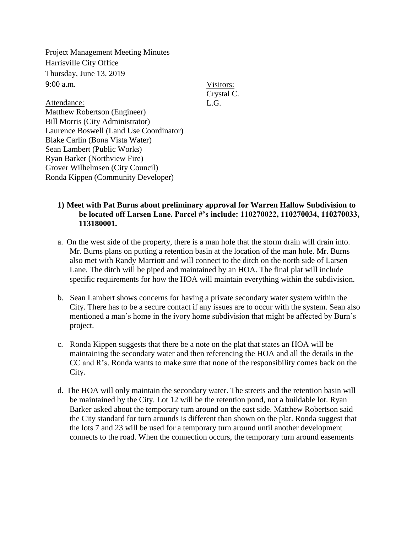Project Management Meeting Minutes Harrisville City Office Thursday, June 13, 2019  $9:00$  a.m.

Visitors: Crystal C. L.G.

Attendance: Matthew Robertson (Engineer) Bill Morris (City Administrator) Laurence Boswell (Land Use Coordinator) Blake Carlin (Bona Vista Water) Sean Lambert (Public Works) Ryan Barker (Northview Fire) Grover Wilhelmsen (City Council) Ronda Kippen (Community Developer)

## **1) Meet with Pat Burns about preliminary approval for Warren Hallow Subdivision to be located off Larsen Lane. Parcel #'s include: 110270022, 110270034, 110270033, 113180001.**

- a. On the west side of the property, there is a man hole that the storm drain will drain into. Mr. Burns plans on putting a retention basin at the location of the man hole. Mr. Burns also met with Randy Marriott and will connect to the ditch on the north side of Larsen Lane. The ditch will be piped and maintained by an HOA. The final plat will include specific requirements for how the HOA will maintain everything within the subdivision.
- b. Sean Lambert shows concerns for having a private secondary water system within the City. There has to be a secure contact if any issues are to occur with the system. Sean also mentioned a man's home in the ivory home subdivision that might be affected by Burn's project.
- c. Ronda Kippen suggests that there be a note on the plat that states an HOA will be maintaining the secondary water and then referencing the HOA and all the details in the CC and R's. Ronda wants to make sure that none of the responsibility comes back on the City.
- d. The HOA will only maintain the secondary water. The streets and the retention basin will be maintained by the City. Lot 12 will be the retention pond, not a buildable lot. Ryan Barker asked about the temporary turn around on the east side. Matthew Robertson said the City standard for turn arounds is different than shown on the plat. Ronda suggest that the lots 7 and 23 will be used for a temporary turn around until another development connects to the road. When the connection occurs, the temporary turn around easements